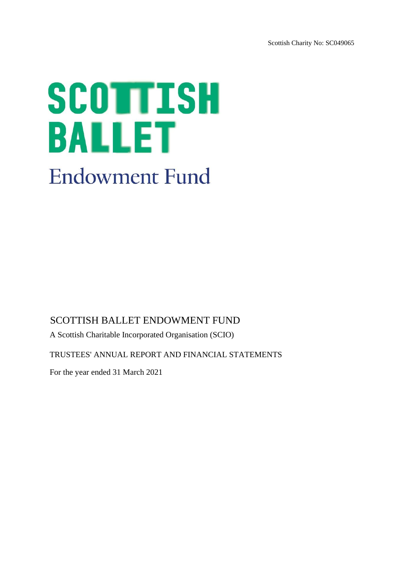Scottish Charity No: SC049065

# SCOTTISH **BALLET Endowment Fund**

# SCOTTISH BALLET ENDOWMENT FUND

A Scottish Charitable Incorporated Organisation (SCIO)

TRUSTEES' ANNUAL REPORT AND FINANCIAL STATEMENTS

For the year ended 31 March 2021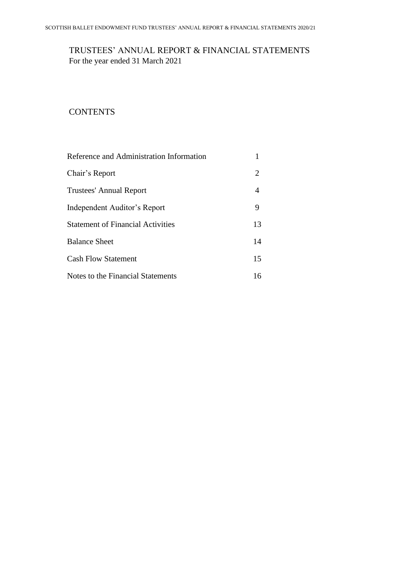# TRUSTEES' ANNUAL REPORT & FINANCIAL STATEMENTS For the year ended 31 March 2021

# **CONTENTS**

| Reference and Administration Information |    |
|------------------------------------------|----|
| Chair's Report                           | 2  |
| <b>Trustees' Annual Report</b>           | 4  |
| Independent Auditor's Report             | 9  |
| <b>Statement of Financial Activities</b> | 13 |
| <b>Balance Sheet</b>                     | 14 |
| <b>Cash Flow Statement</b>               | 15 |
| Notes to the Financial Statements        | 16 |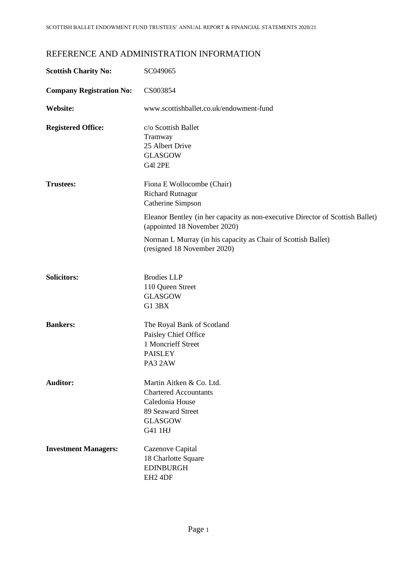# REFERENCE AND ADMINISTRATION INFORMATION

| <b>Scottish Charity No:</b>     | SC049065                                                                                                                                                                                     |
|---------------------------------|----------------------------------------------------------------------------------------------------------------------------------------------------------------------------------------------|
| <b>Company Registration No:</b> | CS003854                                                                                                                                                                                     |
| <b>Website:</b>                 | www.scottishballet.co.uk/endowment-fund                                                                                                                                                      |
| <b>Registered Office:</b>       | c/o Scottish Ballet<br>Tramway<br>25 Albert Drive<br><b>GLASGOW</b><br><b>G41 2PE</b>                                                                                                        |
| <b>Trustees:</b>                | Fiona E Wollocombe (Chair)<br><b>Richard Rutnagur</b><br>Catherine Simpson<br>Eleanor Bentley (in her capacity as non-executive Director of Scottish Ballet)<br>(appointed 18 November 2020) |
|                                 | Norman L Murray (in his capacity as Chair of Scottish Ballet)<br>(resigned 18 November 2020)                                                                                                 |
| <b>Solicitors:</b>              | <b>Brodies LLP</b><br>110 Queen Street<br><b>GLASGOW</b><br>G1 3BX                                                                                                                           |
| <b>Bankers:</b>                 | The Royal Bank of Scotland<br>Paisley Chief Office<br>1 Moncrieff Street<br><b>PAISLEY</b><br>PA3 2AW                                                                                        |
| <b>Auditor:</b>                 | Martin Aitken & Co. Ltd.<br><b>Chartered Accountants</b><br>Caledonia House<br>89 Seaward Street<br><b>GLASGOW</b><br>G41 1HJ                                                                |
| <b>Investment Managers:</b>     | Cazenove Capital<br>18 Charlotte Square<br><b>EDINBURGH</b><br>EH <sub>2</sub> 4DF                                                                                                           |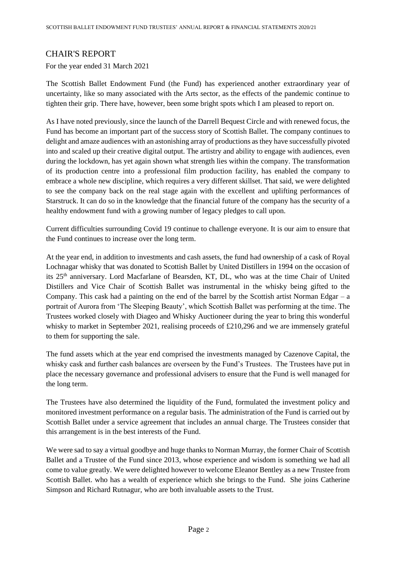# CHAIR'S REPORT

For the year ended 31 March 2021

The Scottish Ballet Endowment Fund (the Fund) has experienced another extraordinary year of uncertainty, like so many associated with the Arts sector, as the effects of the pandemic continue to tighten their grip. There have, however, been some bright spots which I am pleased to report on.

As I have noted previously, since the launch of the Darrell Bequest Circle and with renewed focus, the Fund has become an important part of the success story of Scottish Ballet. The company continues to delight and amaze audiences with an astonishing array of productions as they have successfully pivoted into and scaled up their creative digital output. The artistry and ability to engage with audiences, even during the lockdown, has yet again shown what strength lies within the company. The transformation of its production centre into a professional film production facility, has enabled the company to embrace a whole new discipline, which requires a very different skillset. That said, we were delighted to see the company back on the real stage again with the excellent and uplifting performances of Starstruck. It can do so in the knowledge that the financial future of the company has the security of a healthy endowment fund with a growing number of legacy pledges to call upon.

Current difficulties surrounding Covid 19 continue to challenge everyone. It is our aim to ensure that the Fund continues to increase over the long term.

At the year end, in addition to investments and cash assets, the fund had ownership of a cask of Royal Lochnagar whisky that was donated to Scottish Ballet by United Distillers in 1994 on the occasion of its 25<sup>th</sup> anniversary. Lord Macfarlane of Bearsden, KT, DL, who was at the time Chair of United Distillers and Vice Chair of Scottish Ballet was instrumental in the whisky being gifted to the Company. This cask had a painting on the end of the barrel by the Scottish artist Norman Edgar  $-$  a portrait of Aurora from 'The Sleeping Beauty', which Scottish Ballet was performing at the time. The Trustees worked closely with Diageo and Whisky Auctioneer during the year to bring this wonderful whisky to market in September 2021, realising proceeds of £210,296 and we are immensely grateful to them for supporting the sale.

The fund assets which at the year end comprised the investments managed by Cazenove Capital, the whisky cask and further cash balances are overseen by the Fund's Trustees. The Trustees have put in place the necessary governance and professional advisers to ensure that the Fund is well managed for the long term.

The Trustees have also determined the liquidity of the Fund, formulated the investment policy and monitored investment performance on a regular basis. The administration of the Fund is carried out by Scottish Ballet under a service agreement that includes an annual charge. The Trustees consider that this arrangement is in the best interests of the Fund.

We were sad to say a virtual goodbye and huge thanks to Norman Murray, the former Chair of Scottish Ballet and a Trustee of the Fund since 2013, whose experience and wisdom is something we had all come to value greatly. We were delighted however to welcome Eleanor Bentley as a new Trustee from Scottish Ballet. who has a wealth of experience which she brings to the Fund. She joins Catherine Simpson and Richard Rutnagur, who are both invaluable assets to the Trust.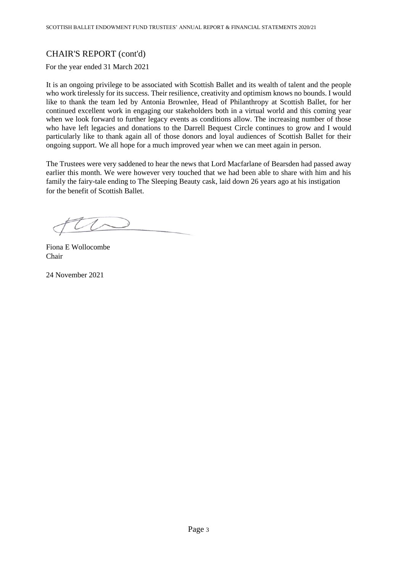# CHAIR'S REPORT (cont'd)

For the year ended 31 March 2021

It is an ongoing privilege to be associated with Scottish Ballet and its wealth of talent and the people who work tirelessly for its success. Their resilience, creativity and optimism knows no bounds. I would like to thank the team led by Antonia Brownlee, Head of Philanthropy at Scottish Ballet, for her continued excellent work in engaging our stakeholders both in a virtual world and this coming year when we look forward to further legacy events as conditions allow. The increasing number of those who have left legacies and donations to the Darrell Bequest Circle continues to grow and I would particularly like to thank again all of those donors and loyal audiences of Scottish Ballet for their ongoing support. We all hope for a much improved year when we can meet again in person.

The Trustees were very saddened to hear the news that Lord Macfarlane of Bearsden had passed away earlier this month. We were however very touched that we had been able to share with him and his family the fairy-tale ending to The Sleeping Beauty cask, laid down 26 years ago at his instigation for the benefit of Scottish Ballet.

Fiona E Wollocombe Chair

24 November 2021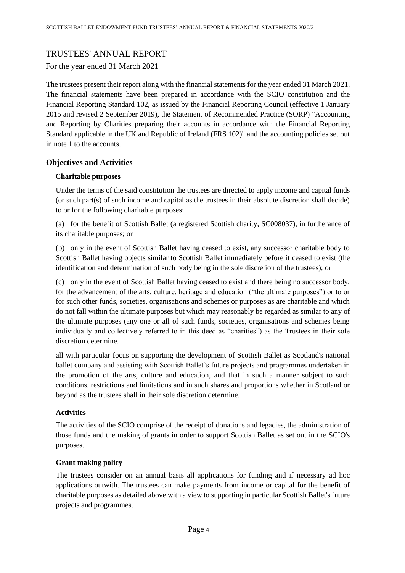## TRUSTEES' ANNUAL REPORT

For the year ended 31 March 2021

The trustees present their report along with the financial statements for the year ended 31 March 2021. The financial statements have been prepared in accordance with the SCIO constitution and the Financial Reporting Standard 102, as issued by the Financial Reporting Council (effective 1 January 2015 and revised 2 September 2019), the Statement of Recommended Practice (SORP) "Accounting and Reporting by Charities preparing their accounts in accordance with the Financial Reporting Standard applicable in the UK and Republic of Ireland (FRS 102)" and the accounting policies set out in note 1 to the accounts.

## **Objectives and Activities**

## **Charitable purposes**

Under the terms of the said constitution the trustees are directed to apply income and capital funds (or such part(s) of such income and capital as the trustees in their absolute discretion shall decide) to or for the following charitable purposes:

(a) for the benefit of Scottish Ballet (a registered Scottish charity, SC008037), in furtherance of its charitable purposes; or

(b) only in the event of Scottish Ballet having ceased to exist, any successor charitable body to Scottish Ballet having objects similar to Scottish Ballet immediately before it ceased to exist (the identification and determination of such body being in the sole discretion of the trustees); or

(c) only in the event of Scottish Ballet having ceased to exist and there being no successor body, for the advancement of the arts, culture, heritage and education ("the ultimate purposes") or to or for such other funds, societies, organisations and schemes or purposes as are charitable and which do not fall within the ultimate purposes but which may reasonably be regarded as similar to any of the ultimate purposes (any one or all of such funds, societies, organisations and schemes being individually and collectively referred to in this deed as "charities") as the Trustees in their sole discretion determine.

all with particular focus on supporting the development of Scottish Ballet as Scotland's national ballet company and assisting with Scottish Ballet's future projects and programmes undertaken in the promotion of the arts, culture and education, and that in such a manner subject to such conditions, restrictions and limitations and in such shares and proportions whether in Scotland or beyond as the trustees shall in their sole discretion determine.

## **Activities**

The activities of the SCIO comprise of the receipt of donations and legacies, the administration of those funds and the making of grants in order to support Scottish Ballet as set out in the SCIO's purposes.

## **Grant making policy**

The trustees consider on an annual basis all applications for funding and if necessary ad hoc applications outwith. The trustees can make payments from income or capital for the benefit of charitable purposes as detailed above with a view to supporting in particular Scottish Ballet's future projects and programmes.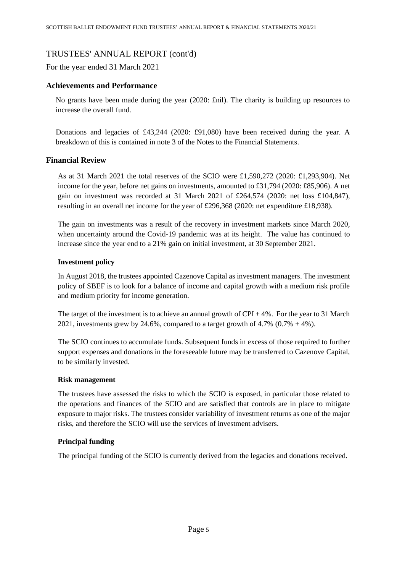For the year ended 31 March 2021

## **Achievements and Performance**

No grants have been made during the year (2020: £nil). The charity is building up resources to increase the overall fund.

Donations and legacies of £43,244 (2020: £91,080) have been received during the year. A breakdown of this is contained in note 3 of the Notes to the Financial Statements.

## **Financial Review**

As at 31 March 2021 the total reserves of the SCIO were £1,590,272 (2020: £1,293,904). Net income for the year, before net gains on investments, amounted to £31,794 (2020: £85,906). A net gain on investment was recorded at 31 March 2021 of £264,574 (2020: net loss £104,847), resulting in an overall net income for the year of £296,368 (2020: net expenditure £18,938).

The gain on investments was a result of the recovery in investment markets since March 2020, when uncertainty around the Covid-19 pandemic was at its height. The value has continued to increase since the year end to a 21% gain on initial investment, at 30 September 2021.

## **Investment policy**

In August 2018, the trustees appointed Cazenove Capital as investment managers. The investment policy of SBEF is to look for a balance of income and capital growth with a medium risk profile and medium priority for income generation.

The target of the investment is to achieve an annual growth of  $CPI + 4\%$ . For the year to 31 March 2021, investments grew by 24.6%, compared to a target growth of  $4.7\%$  (0.7% + 4%).

The SCIO continues to accumulate funds. Subsequent funds in excess of those required to further support expenses and donations in the foreseeable future may be transferred to Cazenove Capital, to be similarly invested.

## **Risk management**

The trustees have assessed the risks to which the SCIO is exposed, in particular those related to the operations and finances of the SCIO and are satisfied that controls are in place to mitigate exposure to major risks. The trustees consider variability of investment returns as one of the major risks, and therefore the SCIO will use the services of investment advisers.

## **Principal funding**

The principal funding of the SCIO is currently derived from the legacies and donations received.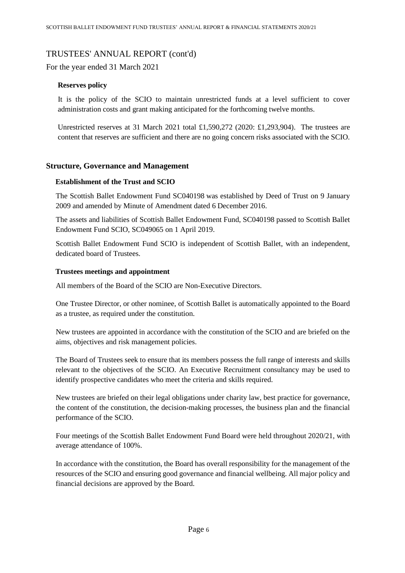For the year ended 31 March 2021

## **Reserves policy**

It is the policy of the SCIO to maintain unrestricted funds at a level sufficient to cover administration costs and grant making anticipated for the forthcoming twelve months.

Unrestricted reserves at 31 March 2021 total £1,590,272 (2020: £1,293,904). The trustees are content that reserves are sufficient and there are no going concern risks associated with the SCIO.

## **Structure, Governance and Management**

## **Establishment of the Trust and SCIO**

The Scottish Ballet Endowment Fund [SC040198](https://www.oscr.org.uk/about-charities/search-the-register/charity-details?number=SC040198) was established by Deed of Trust on 9 January 2009 and amended by Minute of Amendment dated 6 December 2016.

The assets and liabilities of Scottish Ballet Endowment Fund, [SC040198](https://www.oscr.org.uk/about-charities/search-the-register/charity-details?number=SC040198) passed to Scottish Ballet Endowment Fund SCIO, [SC049065](https://www.oscr.org.uk/about-charities/search-the-register/charity-details?number=SC049065) on 1 April 2019.

Scottish Ballet Endowment Fund SCIO is independent of Scottish Ballet, with an independent, dedicated board of Trustees.

## **Trustees meetings and appointment**

All members of the Board of the SCIO are Non-Executive Directors.

One Trustee Director, or other nominee, of Scottish Ballet is automatically appointed to the Board as a trustee, as required under the constitution.

New trustees are appointed in accordance with the constitution of the SCIO and are briefed on the aims, objectives and risk management policies.

The Board of Trustees seek to ensure that its members possess the full range of interests and skills relevant to the objectives of the SCIO. An Executive Recruitment consultancy may be used to identify prospective candidates who meet the criteria and skills required.

New trustees are briefed on their legal obligations under charity law, best practice for governance, the content of the constitution, the decision-making processes, the business plan and the financial performance of the SCIO.

Four meetings of the Scottish Ballet Endowment Fund Board were held throughout 2020/21, with average attendance of 100%.

In accordance with the constitution, the Board has overall responsibility for the management of the resources of the SCIO and ensuring good governance and financial wellbeing. All major policy and financial decisions are approved by the Board.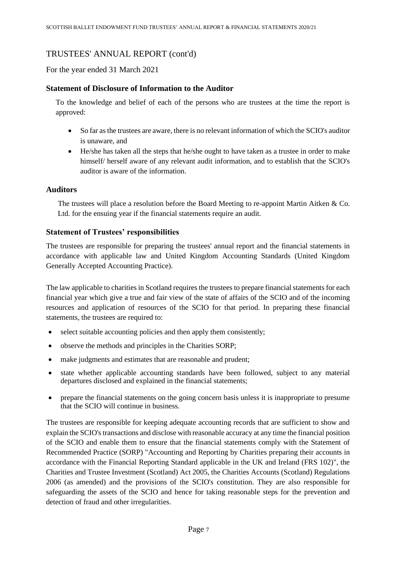For the year ended 31 March 2021

## **Statement of Disclosure of Information to the Auditor**

To the knowledge and belief of each of the persons who are trustees at the time the report is approved:

- So far as the trustees are aware, there is no relevant information of which the SCIO's auditor is unaware, and
- He/she has taken all the steps that he/she ought to have taken as a trustee in order to make himself/ herself aware of any relevant audit information, and to establish that the SCIO's auditor is aware of the information.

## **Auditors**

The trustees will place a resolution before the Board Meeting to re-appoint Martin Aitken & Co. Ltd. for the ensuing year if the financial statements require an audit.

## **Statement of Trustees' responsibilities**

The trustees are responsible for preparing the trustees' annual report and the financial statements in accordance with applicable law and United Kingdom Accounting Standards (United Kingdom Generally Accepted Accounting Practice).

The law applicable to charities in Scotland requires the trustees to prepare financial statements for each financial year which give a true and fair view of the state of affairs of the SCIO and of the incoming resources and application of resources of the SCIO for that period. In preparing these financial statements, the trustees are required to:

- select suitable accounting policies and then apply them consistently;
- observe the methods and principles in the Charities SORP;
- make judgments and estimates that are reasonable and prudent;
- state whether applicable accounting standards have been followed, subject to any material departures disclosed and explained in the financial statements;
- prepare the financial statements on the going concern basis unless it is inappropriate to presume that the SCIO will continue in business.

The trustees are responsible for keeping adequate accounting records that are sufficient to show and explain the SCIO's transactions and disclose with reasonable accuracy at any time the financial position of the SCIO and enable them to ensure that the financial statements comply with the Statement of Recommended Practice (SORP) "Accounting and Reporting by Charities preparing their accounts in accordance with the Financial Reporting Standard applicable in the UK and Ireland (FRS 102)", the Charities and Trustee Investment (Scotland) Act 2005, the Charities Accounts (Scotland) Regulations 2006 (as amended) and the provisions of the SCIO's constitution. They are also responsible for safeguarding the assets of the SCIO and hence for taking reasonable steps for the prevention and detection of fraud and other irregularities.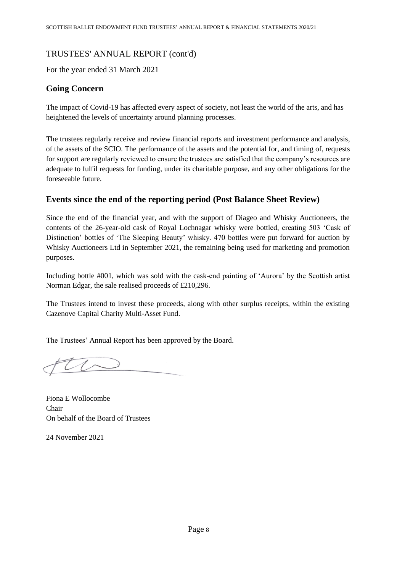For the year ended 31 March 2021

# **Going Concern**

The impact of Covid-19 has affected every aspect of society, not least the world of the arts, and has heightened the levels of uncertainty around planning processes.

The trustees regularly receive and review financial reports and investment performance and analysis, of the assets of the SCIO. The performance of the assets and the potential for, and timing of, requests for support are regularly reviewed to ensure the trustees are satisfied that the company's resources are adequate to fulfil requests for funding, under its charitable purpose, and any other obligations for the foreseeable future.

# **Events since the end of the reporting period (Post Balance Sheet Review)**

Since the end of the financial year, and with the support of Diageo and Whisky Auctioneers, the contents of the 26-year-old cask of Royal Lochnagar whisky were bottled, creating 503 'Cask of Distinction' bottles of 'The Sleeping Beauty' whisky. 470 bottles were put forward for auction by Whisky Auctioneers Ltd in September 2021, the remaining being used for marketing and promotion purposes.

Including bottle #001, which was sold with the cask-end painting of 'Aurora' by the Scottish artist Norman Edgar, the sale realised proceeds of £210,296.

The Trustees intend to invest these proceeds, along with other surplus receipts, within the existing Cazenove Capital Charity Multi-Asset Fund.

The Trustees' Annual Report has been approved by the Board.

Fiona E Wollocombe Chair On behalf of the Board of Trustees

24 November 2021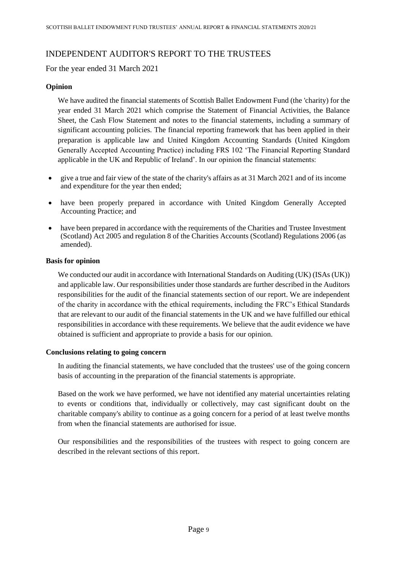# INDEPENDENT AUDITOR'S REPORT TO THE TRUSTEES

For the year ended 31 March 2021

## **Opinion**

We have audited the financial statements of Scottish Ballet Endowment Fund (the 'charity) for the year ended 31 March 2021 which comprise the Statement of Financial Activities, the Balance Sheet, the Cash Flow Statement and notes to the financial statements, including a summary of significant accounting policies. The financial reporting framework that has been applied in their preparation is applicable law and United Kingdom Accounting Standards (United Kingdom Generally Accepted Accounting Practice) including FRS 102 'The Financial Reporting Standard applicable in the UK and Republic of Ireland'. In our opinion the financial statements:

- give a true and fair view of the state of the charity's affairs as at 31 March 2021 and of its income and expenditure for the year then ended;
- have been properly prepared in accordance with United Kingdom Generally Accepted Accounting Practice; and
- have been prepared in accordance with the requirements of the Charities and Trustee Investment (Scotland) Act 2005 and regulation 8 of the Charities Accounts (Scotland) Regulations 2006 (as amended).

## **Basis for opinion**

We conducted our audit in accordance with International Standards on Auditing (UK) (ISAs (UK)) and applicable law. Our responsibilities under those standards are further described in the Auditors responsibilities for the audit of the financial statements section of our report. We are independent of the charity in accordance with the ethical requirements, including the FRC's Ethical Standards that are relevant to our audit of the financial statements in the UK and we have fulfilled our ethical responsibilities in accordance with these requirements. We believe that the audit evidence we have obtained is sufficient and appropriate to provide a basis for our opinion.

## **Conclusions relating to going concern**

In auditing the financial statements, we have concluded that the trustees' use of the going concern basis of accounting in the preparation of the financial statements is appropriate.

Based on the work we have performed, we have not identified any material uncertainties relating to events or conditions that, individually or collectively, may cast significant doubt on the charitable company's ability to continue as a going concern for a period of at least twelve months from when the financial statements are authorised for issue.

Our responsibilities and the responsibilities of the trustees with respect to going concern are described in the relevant sections of this report.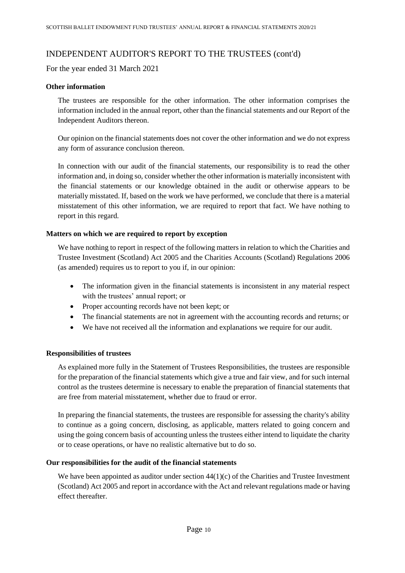# INDEPENDENT AUDITOR'S REPORT TO THE TRUSTEES (cont'd)

For the year ended 31 March 2021

## **Other information**

The trustees are responsible for the other information. The other information comprises the information included in the annual report, other than the financial statements and our Report of the Independent Auditors thereon.

Our opinion on the financial statements does not cover the other information and we do not express any form of assurance conclusion thereon.

In connection with our audit of the financial statements, our responsibility is to read the other information and, in doing so, consider whether the other information is materially inconsistent with the financial statements or our knowledge obtained in the audit or otherwise appears to be materially misstated. If, based on the work we have performed, we conclude that there is a material misstatement of this other information, we are required to report that fact. We have nothing to report in this regard.

## **Matters on which we are required to report by exception**

We have nothing to report in respect of the following matters in relation to which the Charities and Trustee Investment (Scotland) Act 2005 and the Charities Accounts (Scotland) Regulations 2006 (as amended) requires us to report to you if, in our opinion:

- The information given in the financial statements is inconsistent in any material respect with the trustees' annual report; or
- Proper accounting records have not been kept; or
- The financial statements are not in agreement with the accounting records and returns; or
- We have not received all the information and explanations we require for our audit.

## **Responsibilities of trustees**

As explained more fully in the Statement of Trustees Responsibilities, the trustees are responsible for the preparation of the financial statements which give a true and fair view, and for such internal control as the trustees determine is necessary to enable the preparation of financial statements that are free from material misstatement, whether due to fraud or error.

In preparing the financial statements, the trustees are responsible for assessing the charity's ability to continue as a going concern, disclosing, as applicable, matters related to going concern and using the going concern basis of accounting unless the trustees either intend to liquidate the charity or to cease operations, or have no realistic alternative but to do so.

## **Our responsibilities for the audit of the financial statements**

We have been appointed as auditor under section  $44(1)(c)$  of the Charities and Trustee Investment (Scotland) Act 2005 and report in accordance with the Act and relevant regulations made or having effect thereafter.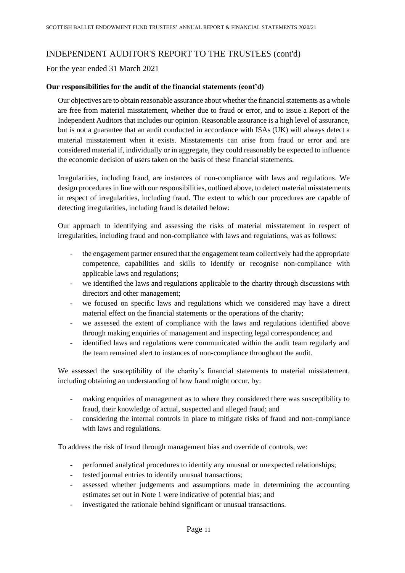# INDEPENDENT AUDITOR'S REPORT TO THE TRUSTEES (cont'd)

For the year ended 31 March 2021

## **Our responsibilities for the audit of the financial statements (cont'd)**

Our objectives are to obtain reasonable assurance about whether the financial statements as a whole are free from material misstatement, whether due to fraud or error, and to issue a Report of the Independent Auditors that includes our opinion. Reasonable assurance is a high level of assurance, but is not a guarantee that an audit conducted in accordance with ISAs (UK) will always detect a material misstatement when it exists. Misstatements can arise from fraud or error and are considered material if, individually or in aggregate, they could reasonably be expected to influence the economic decision of users taken on the basis of these financial statements.

Irregularities, including fraud, are instances of non-compliance with laws and regulations. We design procedures in line with our responsibilities, outlined above, to detect material misstatements in respect of irregularities, including fraud. The extent to which our procedures are capable of detecting irregularities, including fraud is detailed below:

Our approach to identifying and assessing the risks of material misstatement in respect of irregularities, including fraud and non-compliance with laws and regulations, was as follows:

- the engagement partner ensured that the engagement team collectively had the appropriate competence, capabilities and skills to identify or recognise non-compliance with applicable laws and regulations;
- we identified the laws and regulations applicable to the charity through discussions with directors and other management;
- we focused on specific laws and regulations which we considered may have a direct material effect on the financial statements or the operations of the charity;
- we assessed the extent of compliance with the laws and regulations identified above through making enquiries of management and inspecting legal correspondence; and
- identified laws and regulations were communicated within the audit team regularly and the team remained alert to instances of non-compliance throughout the audit.

We assessed the susceptibility of the charity's financial statements to material misstatement, including obtaining an understanding of how fraud might occur, by:

- making enquiries of management as to where they considered there was susceptibility to fraud, their knowledge of actual, suspected and alleged fraud; and
- considering the internal controls in place to mitigate risks of fraud and non-compliance with laws and regulations.

To address the risk of fraud through management bias and override of controls, we:

- performed analytical procedures to identify any unusual or unexpected relationships;
- tested journal entries to identify unusual transactions;
- assessed whether judgements and assumptions made in determining the accounting estimates set out in Note 1 were indicative of potential bias; and
- investigated the rationale behind significant or unusual transactions.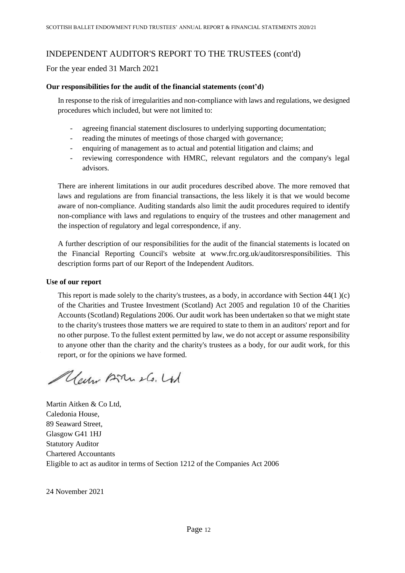# INDEPENDENT AUDITOR'S REPORT TO THE TRUSTEES (cont'd)

For the year ended 31 March 2021

## **Our responsibilities for the audit of the financial statements (cont'd)**

In response to the risk of irregularities and non-compliance with laws and regulations, we designed procedures which included, but were not limited to:

- agreeing financial statement disclosures to underlying supporting documentation;
- reading the minutes of meetings of those charged with governance;
- enquiring of management as to actual and potential litigation and claims; and
- reviewing correspondence with HMRC, relevant regulators and the company's legal advisors.

There are inherent limitations in our audit procedures described above. The more removed that laws and regulations are from financial transactions, the less likely it is that we would become aware of non-compliance. Auditing standards also limit the audit procedures required to identify non-compliance with laws and regulations to enquiry of the trustees and other management and the inspection of regulatory and legal correspondence, if any.

A further description of our responsibilities for the audit of the financial statements is located on the Financial Reporting Council's website at www.frc.org.uk/auditorsresponsibilities. This description forms part of our Report of the Independent Auditors.

## **Use of our report**

This report is made solely to the charity's trustees, as a body, in accordance with Section  $44(1)(c)$ of the Charities and Trustee Investment (Scotland) Act 2005 and regulation 10 of the Charities Accounts (Scotland) Regulations 2006. Our audit work has been undertaken so that we might state to the charity's trustees those matters we are required to state to them in an auditors' report and for no other purpose. To the fullest extent permitted by law, we do not accept or assume responsibility to anyone other than the charity and the charity's trustees as a body, for our audit work, for this report, or for the opinions we have formed.

Mayo Brush. Ltd

Martin Aitken & Co Ltd, Caledonia House, 89 Seaward Street, Glasgow G41 1HJ Statutory Auditor Chartered Accountants Eligible to act as auditor in terms of Section 1212 of the Companies Act 2006

24 November 2021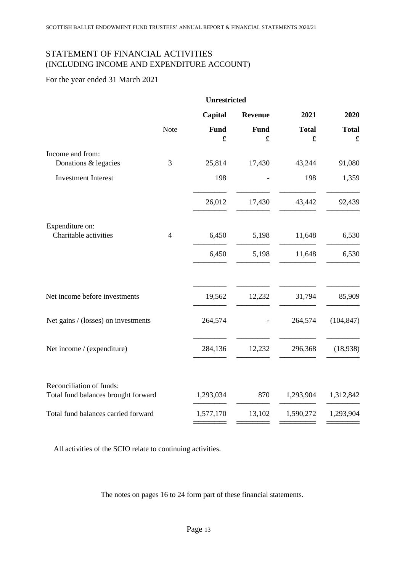# STATEMENT OF FINANCIAL ACTIVITIES (INCLUDING INCOME AND EXPENDITURE ACCOUNT)

# For the year ended 31 March 2021

|                                                                 | <b>Unrestricted</b> |             |                  |                                      |                                      |
|-----------------------------------------------------------------|---------------------|-------------|------------------|--------------------------------------|--------------------------------------|
|                                                                 |                     | Capital     | <b>Revenue</b>   | 2021                                 | 2020                                 |
|                                                                 | Note                | <b>Fund</b> | <b>Fund</b><br>£ | <b>Total</b><br>$\pmb{\mathfrak{L}}$ | <b>Total</b><br>$\pmb{\mathfrak{L}}$ |
| Income and from:<br>Donations & legacies                        | $\mathfrak{Z}$      | 25,814      | 17,430           | 43,244                               | 91,080                               |
| <b>Investment Interest</b>                                      |                     | 198         |                  | 198                                  | 1,359                                |
|                                                                 |                     | 26,012      | 17,430           | 43,442                               | 92,439                               |
| Expenditure on:<br>Charitable activities                        | $\overline{4}$      | 6,450       | 5,198            | 11,648                               | 6,530                                |
|                                                                 |                     | 6,450       | 5,198            | 11,648                               | 6,530                                |
| Net income before investments                                   |                     | 19,562      | 12,232           | 31,794                               | 85,909                               |
| Net gains / (losses) on investments                             |                     | 264,574     |                  | 264,574                              | (104, 847)                           |
| Net income / (expenditure)                                      |                     | 284,136     | 12,232           | 296,368                              | (18,938)                             |
| Reconciliation of funds:<br>Total fund balances brought forward |                     | 1,293,034   | 870              | 1,293,904                            | 1,312,842                            |
| Total fund balances carried forward                             |                     | 1,577,170   | 13,102           | 1,590,272                            | 1,293,904                            |
|                                                                 |                     |             |                  |                                      |                                      |

All activities of the SCIO relate to continuing activities.

The notes on pages 16 to 24 form part of these financial statements.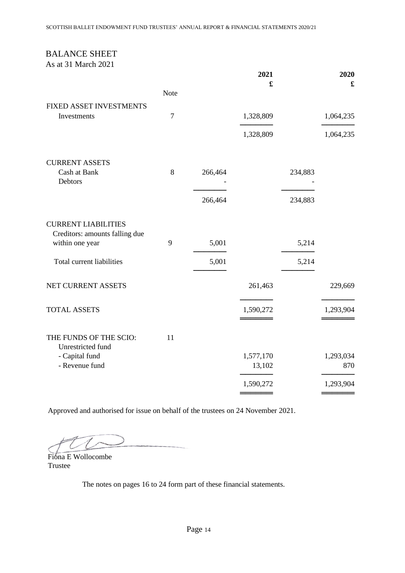# BALANCE SHEET

As at 31 March 2021

|                                                              |                |         | 2021                |         | 2020             |
|--------------------------------------------------------------|----------------|---------|---------------------|---------|------------------|
|                                                              | <b>Note</b>    |         | £                   |         | £                |
| FIXED ASSET INVESTMENTS                                      |                |         |                     |         |                  |
| Investments                                                  | $\overline{7}$ |         | 1,328,809           |         | 1,064,235        |
|                                                              |                |         | 1,328,809           |         | 1,064,235        |
| <b>CURRENT ASSETS</b>                                        |                |         |                     |         |                  |
| Cash at Bank<br>Debtors                                      | 8              | 266,464 |                     | 234,883 |                  |
|                                                              |                | 266,464 |                     | 234,883 |                  |
| <b>CURRENT LIABILITIES</b><br>Creditors: amounts falling due |                |         |                     |         |                  |
| within one year                                              | 9              | 5,001   |                     | 5,214   |                  |
| Total current liabilities                                    |                | 5,001   |                     | 5,214   |                  |
| NET CURRENT ASSETS                                           |                |         | 261,463             |         | 229,669          |
| <b>TOTAL ASSETS</b>                                          |                |         | 1,590,272           |         | 1,293,904        |
| THE FUNDS OF THE SCIO:<br>Unrestricted fund                  | 11             |         |                     |         |                  |
| - Capital fund<br>- Revenue fund                             |                |         | 1,577,170<br>13,102 |         | 1,293,034<br>870 |
|                                                              |                |         | 1,590,272           |         | 1,293,904        |
|                                                              |                |         |                     |         |                  |

Approved and authorised for issue on behalf of the trustees on 24 November 2021.

Fiona E Wollocombe Trustee

The notes on pages 16 to 24 form part of these financial statements.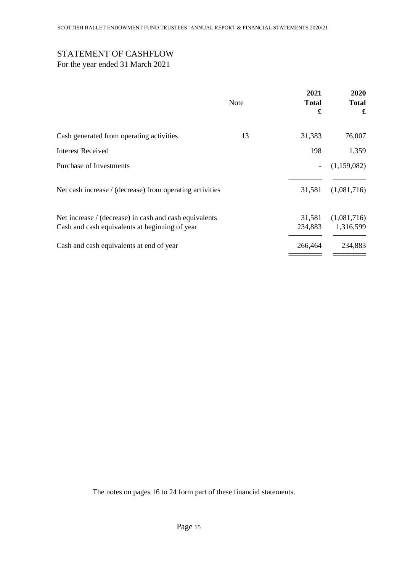# STATEMENT OF CASHFLOW

For the year ended 31 March 2021

|                                                                                                          | <b>Note</b> | 2021<br><b>Total</b><br>£ | 2020<br><b>Total</b><br>£ |
|----------------------------------------------------------------------------------------------------------|-------------|---------------------------|---------------------------|
| Cash generated from operating activities                                                                 | 13          | 31,383                    | 76,007                    |
| <b>Interest Received</b>                                                                                 |             | 198                       | 1,359                     |
| Purchase of Investments                                                                                  |             |                           | (1,159,082)               |
| Net cash increase / (decrease) from operating activities                                                 |             | 31,581                    | (1,081,716)               |
| Net increase / (decrease) in cash and cash equivalents<br>Cash and cash equivalents at beginning of year |             | 31,581<br>234,883         | (1,081,716)<br>1,316,599  |
| Cash and cash equivalents at end of year                                                                 |             | 266,464                   | 234,883                   |

The notes on pages 16 to 24 form part of these financial statements.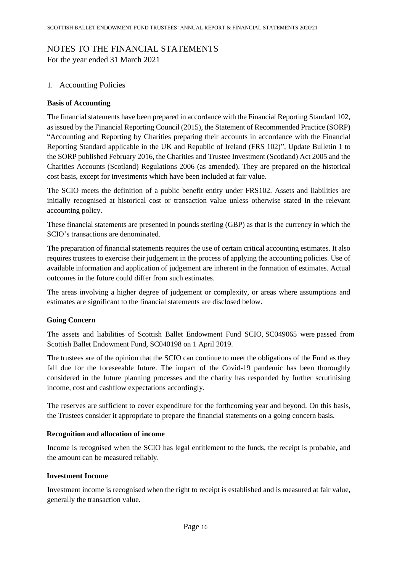# NOTES TO THE FINANCIAL STATEMENTS

For the year ended 31 March 2021

# 1. Accounting Policies

## **Basis of Accounting**

The financial statements have been prepared in accordance with the Financial Reporting Standard 102, as issued by the Financial Reporting Council (2015), the Statement of Recommended Practice (SORP) "Accounting and Reporting by Charities preparing their accounts in accordance with the Financial Reporting Standard applicable in the UK and Republic of Ireland (FRS 102)", Update Bulletin 1 to the SORP published February 2016, the Charities and Trustee Investment (Scotland) Act 2005 and the Charities Accounts (Scotland) Regulations 2006 (as amended). They are prepared on the historical cost basis, except for investments which have been included at fair value.

The SCIO meets the definition of a public benefit entity under FRS102. Assets and liabilities are initially recognised at historical cost or transaction value unless otherwise stated in the relevant accounting policy.

These financial statements are presented in pounds sterling (GBP) as that is the currency in which the SCIO's transactions are denominated.

The preparation of financial statements requires the use of certain critical accounting estimates. It also requires trustees to exercise their judgement in the process of applying the accounting policies. Use of available information and application of judgement are inherent in the formation of estimates. Actual outcomes in the future could differ from such estimates.

The areas involving a higher degree of judgement or complexity, or areas where assumptions and estimates are significant to the financial statements are disclosed below.

# **Going Concern**

The assets and liabilities of Scottish Ballet Endowment Fund SCIO, [SC049065](https://www.oscr.org.uk/about-charities/search-the-register/charity-details?number=SC049065) were passed from Scottish Ballet Endowment Fund, [SC040198](https://www.oscr.org.uk/about-charities/search-the-register/charity-details?number=SC040198) on 1 April 2019.

The trustees are of the opinion that the SCIO can continue to meet the obligations of the Fund as they fall due for the foreseeable future. The impact of the Covid-19 pandemic has been thoroughly considered in the future planning processes and the charity has responded by further scrutinising income, cost and cashflow expectations accordingly.

The reserves are sufficient to cover expenditure for the forthcoming year and beyond. On this basis, the Trustees consider it appropriate to prepare the financial statements on a going concern basis.

# **Recognition and allocation of income**

Income is recognised when the SCIO has legal entitlement to the funds, the receipt is probable, and the amount can be measured reliably.

## **Investment Income**

Investment income is recognised when the right to receipt is established and is measured at fair value, generally the transaction value.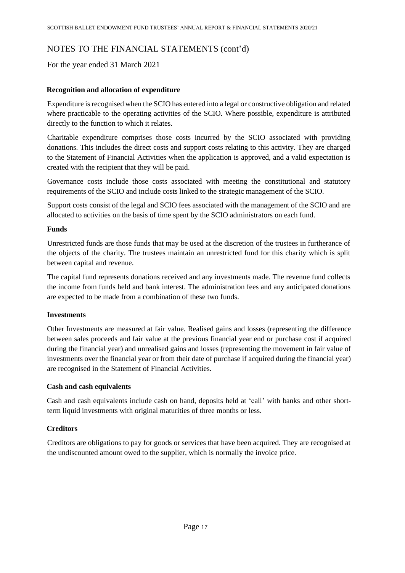For the year ended 31 March 2021

## **Recognition and allocation of expenditure**

Expenditure is recognised when the SCIO has entered into a legal or constructive obligation and related where practicable to the operating activities of the SCIO. Where possible, expenditure is attributed directly to the function to which it relates.

Charitable expenditure comprises those costs incurred by the SCIO associated with providing donations. This includes the direct costs and support costs relating to this activity. They are charged to the Statement of Financial Activities when the application is approved, and a valid expectation is created with the recipient that they will be paid.

Governance costs include those costs associated with meeting the constitutional and statutory requirements of the SCIO and include costs linked to the strategic management of the SCIO.

Support costs consist of the legal and SCIO fees associated with the management of the SCIO and are allocated to activities on the basis of time spent by the SCIO administrators on each fund.

## **Funds**

Unrestricted funds are those funds that may be used at the discretion of the trustees in furtherance of the objects of the charity. The trustees maintain an unrestricted fund for this charity which is split between capital and revenue.

The capital fund represents donations received and any investments made. The revenue fund collects the income from funds held and bank interest. The administration fees and any anticipated donations are expected to be made from a combination of these two funds.

## **Investments**

Other Investments are measured at fair value. Realised gains and losses (representing the difference between sales proceeds and fair value at the previous financial year end or purchase cost if acquired during the financial year) and unrealised gains and losses (representing the movement in fair value of investments over the financial year or from their date of purchase if acquired during the financial year) are recognised in the Statement of Financial Activities.

## **Cash and cash equivalents**

Cash and cash equivalents include cash on hand, deposits held at 'call' with banks and other shortterm liquid investments with original maturities of three months or less.

## **Creditors**

Creditors are obligations to pay for goods or services that have been acquired. They are recognised at the undiscounted amount owed to the supplier, which is normally the invoice price.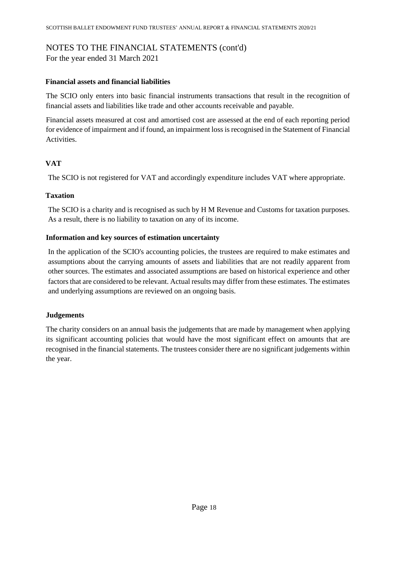For the year ended 31 March 2021

## **Financial assets and financial liabilities**

The SCIO only enters into basic financial instruments transactions that result in the recognition of financial assets and liabilities like trade and other accounts receivable and payable.

Financial assets measured at cost and amortised cost are assessed at the end of each reporting period for evidence of impairment and if found, an impairment loss is recognised in the Statement of Financial Activities.

# **VAT**

The SCIO is not registered for VAT and accordingly expenditure includes VAT where appropriate.

## **Taxation**

The SCIO is a charity and is recognised as such by H M Revenue and Customs for taxation purposes. As a result, there is no liability to taxation on any of its income.

## **Information and key sources of estimation uncertainty**

In the application of the SCIO's accounting policies, the trustees are required to make estimates and assumptions about the carrying amounts of assets and liabilities that are not readily apparent from other sources. The estimates and associated assumptions are based on historical experience and other factors that are considered to be relevant. Actual results may differ from these estimates. The estimates and underlying assumptions are reviewed on an ongoing basis.

# **Judgements**

The charity considers on an annual basis the judgements that are made by management when applying its significant accounting policies that would have the most significant effect on amounts that are recognised in the financial statements. The trustees consider there are no significant judgements within the year.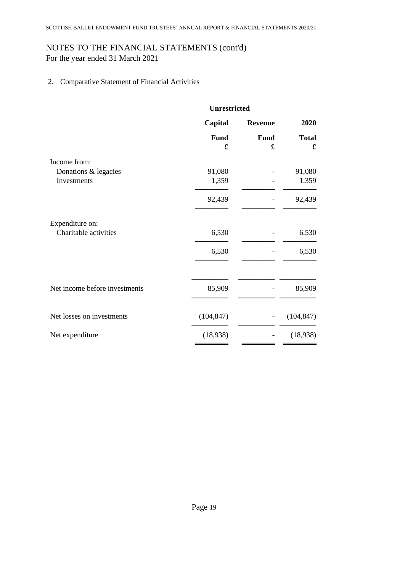For the year ended 31 March 2021

2. Comparative Statement of Financial Activities

|                               | <b>Unrestricted</b> |                  |                   |
|-------------------------------|---------------------|------------------|-------------------|
|                               | Capital             | <b>Revenue</b>   | 2020              |
|                               | <b>Fund</b><br>£    | <b>Fund</b><br>£ | <b>Total</b><br>£ |
| Income from:                  |                     |                  |                   |
| Donations & legacies          | 91,080              |                  | 91,080            |
| Investments                   | 1,359               |                  | 1,359             |
|                               | 92,439              |                  | 92,439            |
| Expenditure on:               |                     |                  |                   |
| Charitable activities         | 6,530               |                  | 6,530             |
|                               | 6,530               |                  | 6,530             |
|                               |                     |                  |                   |
| Net income before investments | 85,909              |                  | 85,909            |
| Net losses on investments     | (104, 847)          |                  | (104, 847)        |
| Net expenditure               | (18,938)            |                  | (18,938)          |
|                               |                     |                  |                   |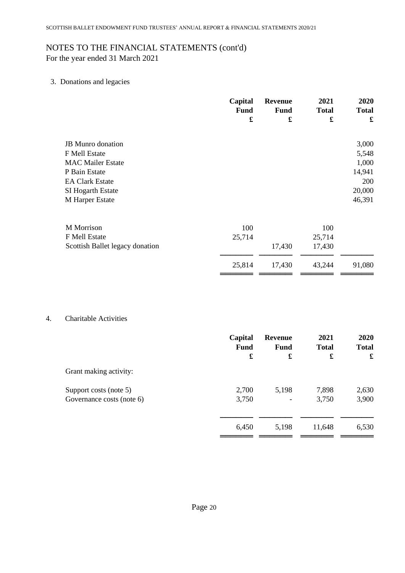For the year ended 31 March 2021

# 3. Donations and legacies

|                                                                                                                                                          | Capital<br><b>Fund</b><br>£ | <b>Revenue</b><br><b>Fund</b><br>$\pmb{\mathfrak{L}}$ | 2021<br><b>Total</b><br>£         | 2020<br><b>Total</b><br>£                                    |
|----------------------------------------------------------------------------------------------------------------------------------------------------------|-----------------------------|-------------------------------------------------------|-----------------------------------|--------------------------------------------------------------|
| <b>JB</b> Munro donation<br>F Mell Estate<br><b>MAC Mailer Estate</b><br>P Bain Estate<br><b>EA Clark Estate</b><br>SI Hogarth Estate<br>M Harper Estate |                             |                                                       |                                   | 3,000<br>5,548<br>1,000<br>14,941<br>200<br>20,000<br>46,391 |
| M Morrison<br>F Mell Estate<br>Scottish Ballet legacy donation                                                                                           | 100<br>25,714<br>25,814     | 17,430<br>17,430                                      | 100<br>25,714<br>17,430<br>43,244 | 91,080                                                       |

## 4. Charitable Activities

| Capital<br><b>Fund</b> | Revenue<br><b>Fund</b> | 2021<br><b>Total</b> | 2020<br><b>Total</b> |
|------------------------|------------------------|----------------------|----------------------|
| £                      | £                      | £                    | £                    |
|                        |                        |                      |                      |
| 2,700                  | 5,198                  | 7,898                | 2,630                |
| 3,750                  | -                      | 3,750                | 3,900                |
|                        |                        |                      |                      |
| 6,450                  | 5,198                  | 11,648               | 6,530                |
|                        |                        |                      |                      |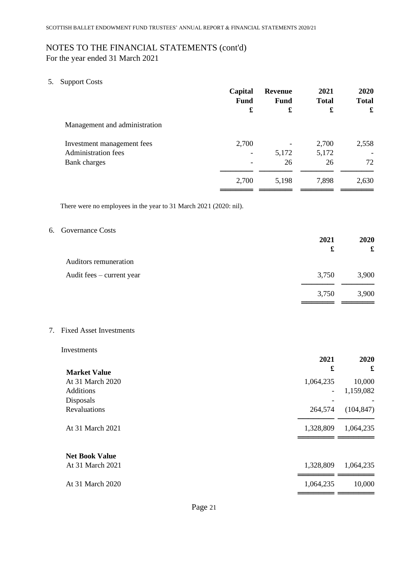For the year ended 31 March 2021

5. Support Costs

|                                                                          | Capital<br><b>Fund</b><br>£ | <b>Revenue</b><br><b>Fund</b><br>£ | 2021<br><b>Total</b><br>£ | 2020<br><b>Total</b><br>£ |
|--------------------------------------------------------------------------|-----------------------------|------------------------------------|---------------------------|---------------------------|
| Management and administration                                            |                             |                                    |                           |                           |
| Investment management fees<br><b>Administration fees</b><br>Bank charges | 2,700                       | 5,172<br>26                        | 2,700<br>5,172<br>26      | 2,558<br>72               |
|                                                                          | 2,700                       | 5,198                              | 7,898                     | 2,630                     |

There were no employees in the year to 31 March 2021 (2020: nil).

## 6. Governance Costs

|                           | 2021<br>£ | 2020<br>£ |
|---------------------------|-----------|-----------|
| Auditors remuneration     |           |           |
| Audit fees – current year | 3,750     | 3,900     |
|                           | 3,750     | 3,900     |
|                           |           |           |

7. Fixed Asset Investments

#### Investments

|                       | 2021<br>£                | 2020<br>£  |
|-----------------------|--------------------------|------------|
| <b>Market Value</b>   |                          |            |
| At 31 March 2020      | 1,064,235                | 10,000     |
| <b>Additions</b>      | $\overline{\phantom{0}}$ | 1,159,082  |
| Disposals             |                          |            |
| <b>Revaluations</b>   | 264,574                  | (104, 847) |
| At 31 March 2021      | 1,328,809                | 1,064,235  |
| <b>Net Book Value</b> |                          |            |
| At 31 March 2021      | 1,328,809                | 1,064,235  |
| At 31 March 2020      | 1,064,235                | 10,000     |
|                       |                          |            |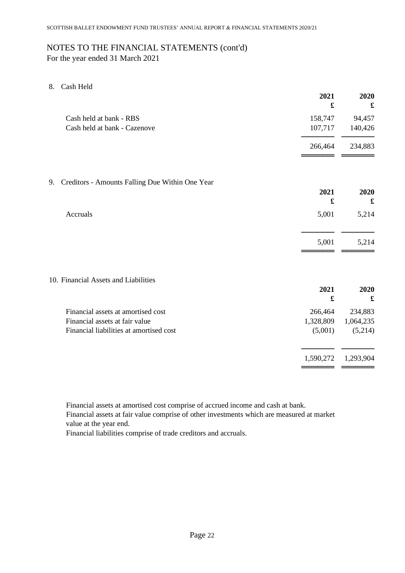For the year ended 31 March 2021

8. Cash Held

|                                                       | 2021<br>£   | 2020<br>£            |
|-------------------------------------------------------|-------------|----------------------|
| Cash held at bank - RBS                               | 158,747     | 94,457               |
| Cash held at bank - Cazenove                          | 107,717     | 140,426              |
|                                                       | 266,464     | 234,883              |
| Creditors - Amounts Falling Due Within One Year<br>9. |             |                      |
|                                                       | 2021        | 2020                 |
|                                                       | $\mathbf f$ | $\pmb{\mathfrak{L}}$ |
| Accruals                                              | 5,001       | 5,214                |
|                                                       | 5,001       | 5,214                |
| 10. Financial Assets and Liabilities                  |             |                      |
|                                                       | 2021        | 2020                 |
|                                                       | $\mathbf f$ | $\pmb{\mathfrak{L}}$ |
| Financial assets at amortised cost                    | 266,464     | 234,883              |
| Financial assets at fair value                        | 1,328,809   | 1,064,235            |
| Financial liabilities at amortised cost               | (5,001)     | (5,214)              |
|                                                       | 1,590,272   | 1,293,904            |
|                                                       |             |                      |

Financial assets at amortised cost comprise of accrued income and cash at bank.

Financial assets at fair value comprise of other investments which are measured at market value at the year end.

Financial liabilities comprise of trade creditors and accruals.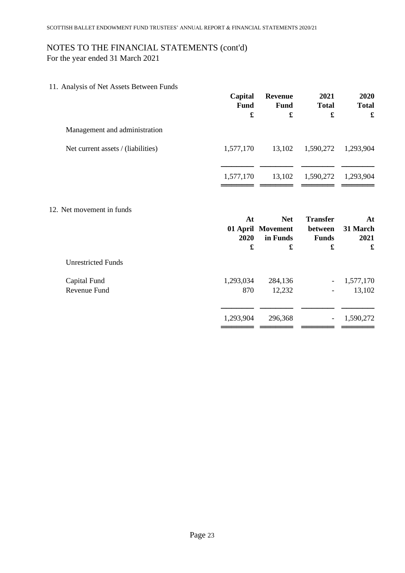For the year ended 31 March 2021

11. Analysis of Net Assets Between Funds

|                                    | Capital<br><b>Fund</b> | <b>Revenue</b><br>Fund<br>£   | 2021<br><b>Total</b>     | 2020<br><b>Total</b><br>$\pmb{\mathfrak{L}}$ |
|------------------------------------|------------------------|-------------------------------|--------------------------|----------------------------------------------|
| Management and administration      |                        |                               |                          |                                              |
| Net current assets / (liabilities) | 1,577,170              | 13,102                        | 1,590,272                | 1,293,904                                    |
|                                    | 1,577,170              | 13,102                        | 1,590,272                | 1,293,904                                    |
| 12. Net movement in funds          | At                     | <b>Net</b>                    | <b>Transfer</b>          | At                                           |
|                                    | 2020                   | 01 April Movement<br>in Funds | between<br><b>Funds</b>  | 31 March<br>2021                             |
|                                    | £                      | £                             | £                        | £                                            |
| <b>Unrestricted Funds</b>          |                        |                               |                          |                                              |
| Capital Fund<br>Revenue Fund       | 1,293,034<br>870       | 284,136<br>12,232             | $\overline{\phantom{a}}$ | 1,577,170<br>13,102                          |
|                                    |                        |                               |                          |                                              |